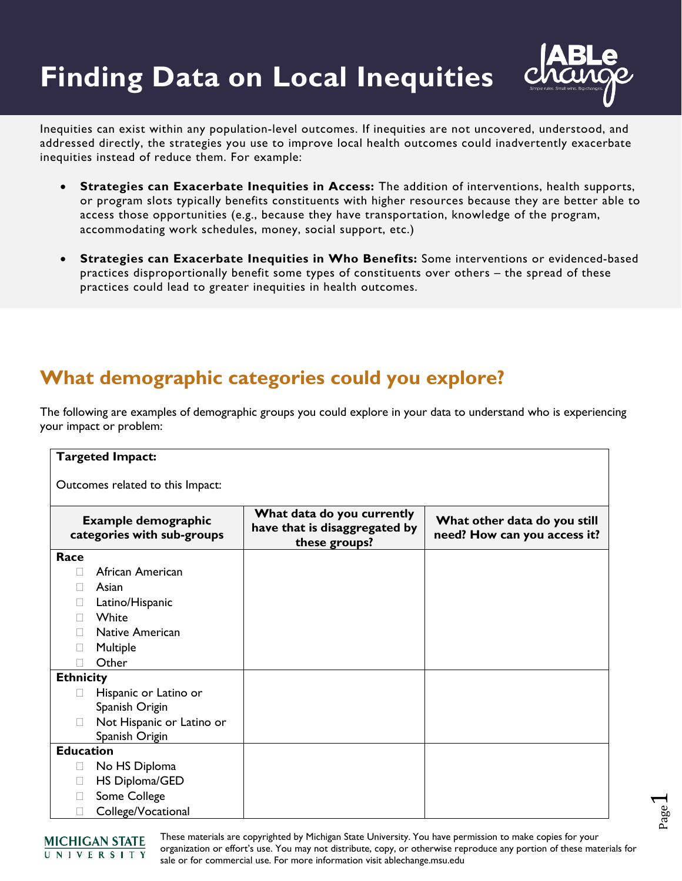## **Finding Data on Local Inequities**



Inequities can exist within any population-level outcomes. If inequities are not uncovered, understood, and addressed directly, the strategies you use to improve local health outcomes could inadvertently exacerbate inequities instead of reduce them. For example:

- **Strategies can Exacerbate Inequities in Access:** The addition of interventions, health supports, or program slots typically benefits constituents with higher resources because they are better able to access those opportunities (e.g., because they have transportation, knowledge of the program, accommodating work schedules, money, social support, etc.)
- **Strategies can Exacerbate Inequities in Who Benefits:** Some interventions or evidenced-based practices disproportionally benefit some types of constituents over others – the spread of these practices could lead to greater inequities in health outcomes.

## **What demographic categories could you explore?**

The following are examples of demographic groups you could explore in your data to understand who is experiencing your impact or problem:

| <b>Targeted Impact:</b>                                  |                                                                              |                                                              |  |  |  |
|----------------------------------------------------------|------------------------------------------------------------------------------|--------------------------------------------------------------|--|--|--|
| Outcomes related to this Impact:                         |                                                                              |                                                              |  |  |  |
| <b>Example demographic</b><br>categories with sub-groups | What data do you currently<br>have that is disaggregated by<br>these groups? | What other data do you still<br>need? How can you access it? |  |  |  |
| Race                                                     |                                                                              |                                                              |  |  |  |
| African American<br>ш                                    |                                                                              |                                                              |  |  |  |
| Asian<br>н                                               |                                                                              |                                                              |  |  |  |
| Latino/Hispanic                                          |                                                                              |                                                              |  |  |  |
| White                                                    |                                                                              |                                                              |  |  |  |
| <b>Native American</b>                                   |                                                                              |                                                              |  |  |  |
| Multiple                                                 |                                                                              |                                                              |  |  |  |
| Other                                                    |                                                                              |                                                              |  |  |  |
| <b>Ethnicity</b>                                         |                                                                              |                                                              |  |  |  |
| Hispanic or Latino or<br>Н                               |                                                                              |                                                              |  |  |  |
| Spanish Origin                                           |                                                                              |                                                              |  |  |  |
| Not Hispanic or Latino or                                |                                                                              |                                                              |  |  |  |
| Spanish Origin                                           |                                                                              |                                                              |  |  |  |
| <b>Education</b>                                         |                                                                              |                                                              |  |  |  |
| No HS Diploma<br>$\Box$                                  |                                                                              |                                                              |  |  |  |
| HS Diploma/GED<br>$\mathbb{R}^n$                         |                                                                              |                                                              |  |  |  |
| Some College                                             |                                                                              |                                                              |  |  |  |
| College/Vocational                                       |                                                                              |                                                              |  |  |  |

Page  $\overline{\phantom{0}}$ 



These materials are copyrighted by Michigan State University. You have permission to make copies for your organization or effort's use. You may not distribute, copy, or otherwise reproduce any portion of these materials for sale or for commercial use. For more information visit ablechange.msu.edu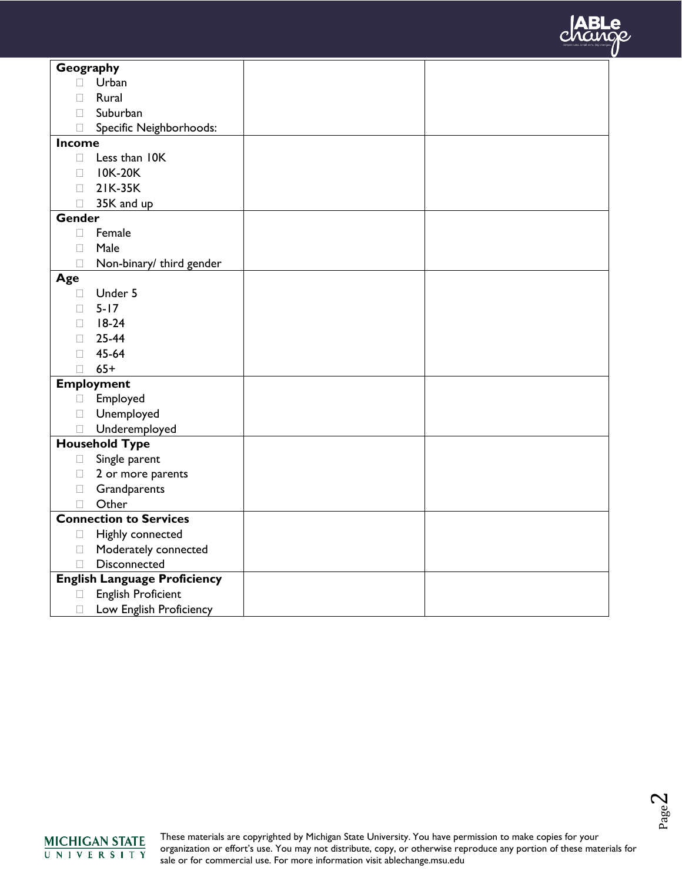

| Geography                           |                               |  |  |
|-------------------------------------|-------------------------------|--|--|
| П                                   | Urban                         |  |  |
|                                     | Rural                         |  |  |
| П                                   | Suburban                      |  |  |
| Ш                                   | Specific Neighborhoods:       |  |  |
| Income                              |                               |  |  |
| П                                   | Less than IOK                 |  |  |
| П                                   | <b>IOK-20K</b>                |  |  |
| П                                   | 21K-35K                       |  |  |
| П                                   | 35K and up                    |  |  |
| Gender                              |                               |  |  |
| $\Box$                              | Female                        |  |  |
| П                                   | Male                          |  |  |
| П                                   | Non-binary/ third gender      |  |  |
| Age                                 |                               |  |  |
| П                                   | Under 5                       |  |  |
| П                                   | $5 - 17$                      |  |  |
| П                                   | $18-24$                       |  |  |
| П                                   | 25-44                         |  |  |
| П                                   | 45-64                         |  |  |
| П                                   | $65+$                         |  |  |
|                                     | <b>Employment</b>             |  |  |
| $\Box$                              | Employed                      |  |  |
| $\Box$                              | Unemployed                    |  |  |
| П                                   | Underemployed                 |  |  |
|                                     | <b>Household Type</b>         |  |  |
| $\Box$                              | Single parent                 |  |  |
| $\Box$                              | 2 or more parents             |  |  |
| $\Box$                              | Grandparents                  |  |  |
| П                                   | Other                         |  |  |
|                                     | <b>Connection to Services</b> |  |  |
| $\Box$                              | Highly connected              |  |  |
| $\Box$                              | Moderately connected          |  |  |
| П                                   | Disconnected                  |  |  |
| <b>English Language Proficiency</b> |                               |  |  |
| □                                   | <b>English Proficient</b>     |  |  |
| $\Box$                              | Low English Proficiency       |  |  |